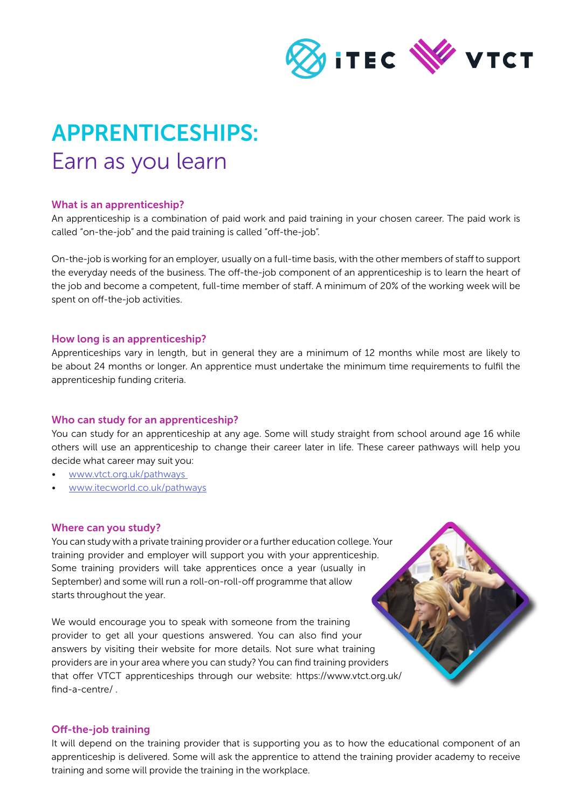

# APPRENTICESHIPS: Earn as you learn

# What is an apprenticeship?

An apprenticeship is a combination of paid work and paid training in your chosen career. The paid work is called "on-the-job" and the paid training is called "off-the-job".

On-the-job is working for an employer, usually on a full-time basis, with the other members of staff to support the everyday needs of the business. The off-the-job component of an apprenticeship is to learn the heart of the job and become a competent, full-time member of staff. A minimum of 20% of the working week will be spent on off-the-job activities.

# How long is an apprenticeship?

Apprenticeships vary in length, but in general they are a minimum of 12 months while most are likely to be about 24 months or longer. An apprentice must undertake the minimum time requirements to fulfil the apprenticeship funding criteria.

## Who can study for an apprenticeship?

You can study for an apprenticeship at any age. Some will study straight from school around age 16 while others will use an apprenticeship to change their career later in life. These career pathways will help you decide what career may suit you:

- [www.vtct.org.uk/pathways](http://www.vtct.org.uk/pathways  )
- [www.itecworld.co.uk/pathways](http://www.itecworld.co.uk/pathways )

## Where can you study?

You can study with a private training provider or a further education college. Your training provider and employer will support you with your apprenticeship. Some training providers will take apprentices once a year (usually in September) and some will run a roll-on-roll-off programme that allow starts throughout the year.

We would encourage you to speak with someone from the training provider to get all your questions answered. You can also find your answers by visiting their website for more details. Not sure what training providers are in your area where you can study? You can find training providers that offer VTCT apprenticeships through our website: https://www.vtct.org.uk/ find-a-centre/ .

## Off-the-job training

It will depend on the training provider that is supporting you as to how the educational component of an apprenticeship is delivered. Some will ask the apprentice to attend the training provider academy to receive training and some will provide the training in the workplace.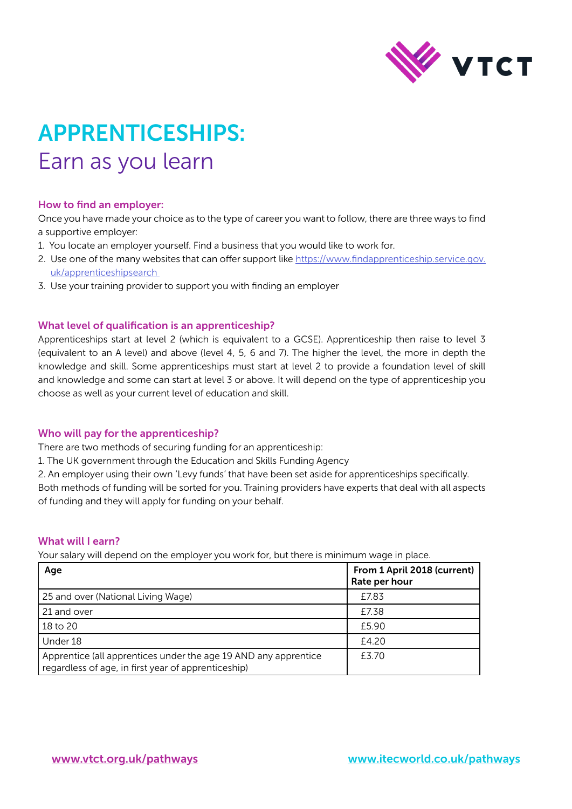

# APPRENTICESHIPS: Earn as you learn

# How to find an employer:

Once you have made your choice as to the type of career you want to follow, there are three ways to find a supportive employer:

- 1. You locate an employer yourself. Find a business that you would like to work for.
- 2. Use one of the many websites that can offer support like [https://www.findapprenticeship.service.gov.](https://www.findapprenticeship.service.gov.uk/apprenticeshipsearch ) [uk/apprenticeshipsearch](https://www.findapprenticeship.service.gov.uk/apprenticeshipsearch )
- 3. Use your training provider to support you with finding an employer

## What level of qualification is an apprenticeship?

Apprenticeships start at level 2 (which is equivalent to a GCSE). Apprenticeship then raise to level 3 (equivalent to an A level) and above (level 4, 5, 6 and 7). The higher the level, the more in depth the knowledge and skill. Some apprenticeships must start at level 2 to provide a foundation level of skill and knowledge and some can start at level 3 or above. It will depend on the type of apprenticeship you choose as well as your current level of education and skill.

## Who will pay for the apprenticeship?

There are two methods of securing funding for an apprenticeship:

- 1. The UK government through the Education and Skills Funding Agency
- 2. An employer using their own 'Levy funds' that have been set aside for apprenticeships specifically.

Both methods of funding will be sorted for you. Training providers have experts that deal with all aspects of funding and they will apply for funding on your behalf.

# What will I earn?

Your salary will depend on the employer you work for, but there is minimum wage in place.

| Age                                                                                                                    | From 1 April 2018 (current)<br>Rate per hour |
|------------------------------------------------------------------------------------------------------------------------|----------------------------------------------|
| 25 and over (National Living Wage)                                                                                     | £7.83                                        |
| 21 and over                                                                                                            | £7.38                                        |
| 18 to 20                                                                                                               | £5.90                                        |
| Under 18                                                                                                               | £4.20                                        |
| Apprentice (all apprentices under the age 19 AND any apprentice<br>regardless of age, in first year of apprenticeship) | £3.70                                        |